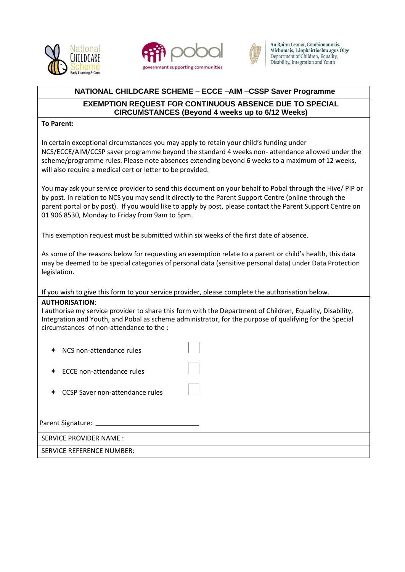





An Roinn Leanaí, Comhionannais, Míchumais, Lánpháirtíochta agus Óige Department of Children, Equality, Disability, Integration and Youth

## **NATIONAL CHILDCARE SCHEME – ECCE –AIM –CSSP Saver Programme**

## **EXEMPTION REQUEST FOR CONTINUOUS ABSENCE DUE TO SPECIAL CIRCUMSTANCES (Beyond 4 weeks up to 6/12 Weeks)**

## **To Parent:**

In certain exceptional circumstances you may apply to retain your child's funding under NCS/ECCE/AIM/CCSP saver programme beyond the standard 4 weeks non- attendance allowed under the scheme/programme rules. Please note absences extending beyond 6 weeks to a maximum of 12 weeks, will also require a medical cert or letter to be provided.

You may ask your service provider to send this document on your behalf to Pobal through the Hive/ PIP or by post. In relation to NCS you may send it directly to the Parent Support Centre (online through the parent portal or by post). If you would like to apply by post, please contact the Parent Support Centre on 01 906 8530, Monday to Friday from 9am to 5pm.

This exemption request must be submitted within six weeks of the first date of absence.

As some of the reasons below for requesting an exemption relate to a parent or child's health, this data may be deemed to be special categories of personal data (sensitive personal data) under Data Protection legislation.

If you wish to give this form to your service provider, please complete the authorisation below.

## **AUTHORISATION**:

I authorise my service provider to share this form with the Department of Children, Equality, Disability, Integration and Youth, and Pobal as scheme administrator, for the purpose of qualifying for the Special circumstances of non-attendance to the :

- ← NCS non-attendance rules ← ECCE non-attendance rules
- CCSP Saver non-attendance rules

Parent Signature:

SERVICE PROVIDER NAME :

SERVICE REFERENCE NUMBER: